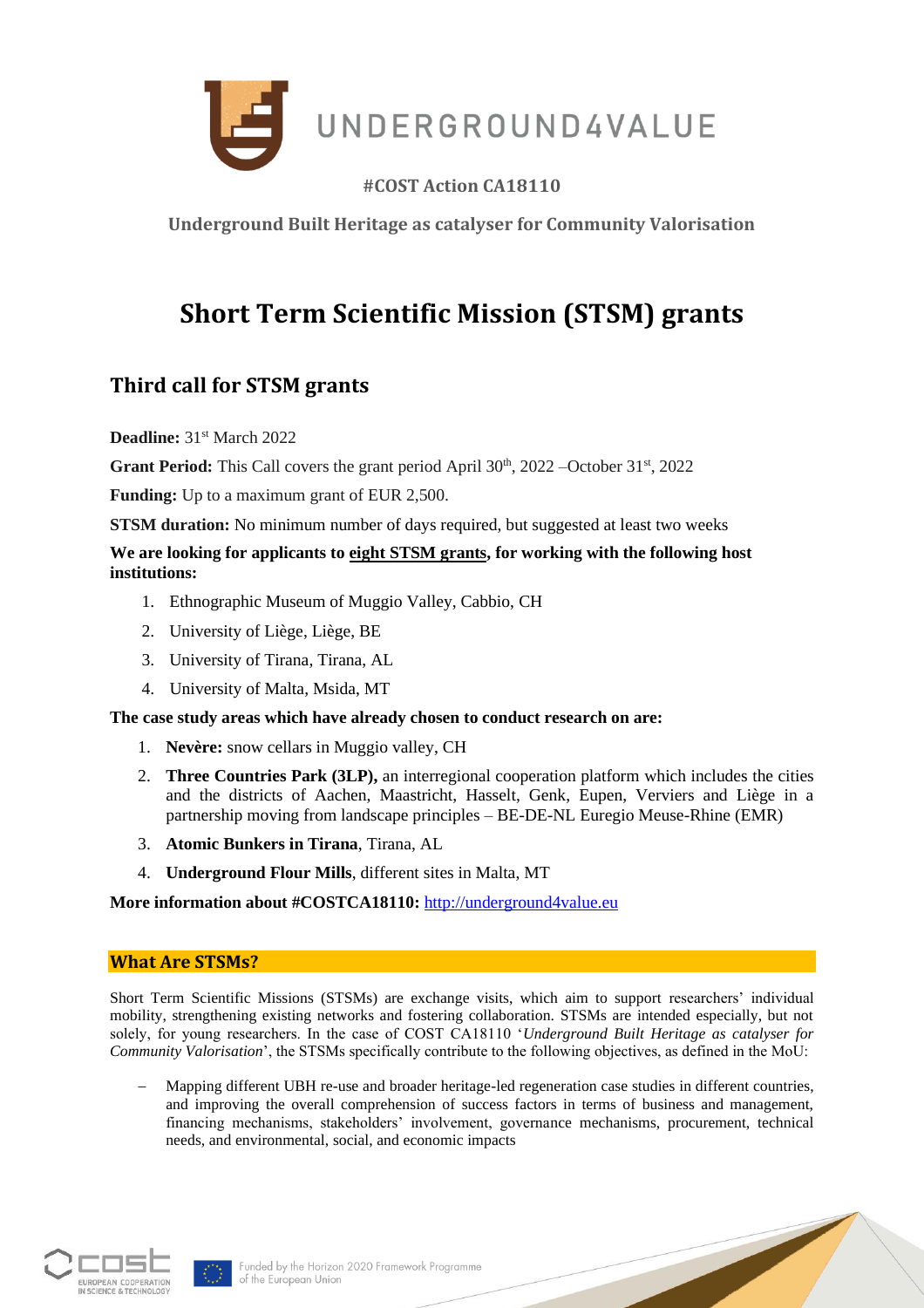

# **#COST Action CA18110**

**Underground Built Heritage as catalyser for Community Valorisation**

# **Short Term Scientific Mission (STSM) grants**

# **Third call for STSM grants**

Deadline: 31<sup>st</sup> March 2022

**Grant Period:** This Call covers the grant period April  $30<sup>th</sup>$ ,  $2022$  –October  $31<sup>st</sup>$ ,  $2022$ 

**Funding:** Up to a maximum grant of EUR 2,500.

**STSM duration:** No minimum number of days required, but suggested at least two weeks

#### **We are looking for applicants to eight STSM grants, for working with the following host institutions:**

- 1. Ethnographic Museum of Muggio Valley, Cabbio, CH
- 2. University of Liège, Liège, BE
- 3. University of Tirana, Tirana, AL
- 4. University of Malta, Msida, MT

#### **The case study areas which have already chosen to conduct research on are:**

- 1. **Nevère:** snow cellars in Muggio valley, CH
- 2. **Three Countries Park (3LP),** an interregional cooperation platform which includes the cities and the districts of Aachen, Maastricht, Hasselt, Genk, Eupen, Verviers and Liège in a partnership moving from landscape principles – BE-DE-NL Euregio Meuse-Rhine (EMR)
- 3. **Atomic Bunkers in Tirana**, Tirana, AL
- 4. **Underground Flour Mills**, different sites in Malta, MT

**More information about #COSTCA18110:** [http://underground4value.eu](http://underground4value.eu/)

#### **What Are STSMs?**

Short Term Scientific Missions (STSMs) are exchange visits, which aim to support researchers' individual mobility, strengthening existing networks and fostering collaboration. STSMs are intended especially, but not solely, for young researchers. In the case of COST CA18110 '*Underground Built Heritage as catalyser for Community Valorisation*', the STSMs specifically contribute to the following objectives, as defined in the MoU:

− Mapping different UBH re-use and broader heritage-led regeneration case studies in different countries, and improving the overall comprehension of success factors in terms of business and management, financing mechanisms, stakeholders' involvement, governance mechanisms, procurement, technical needs, and environmental, social, and economic impacts



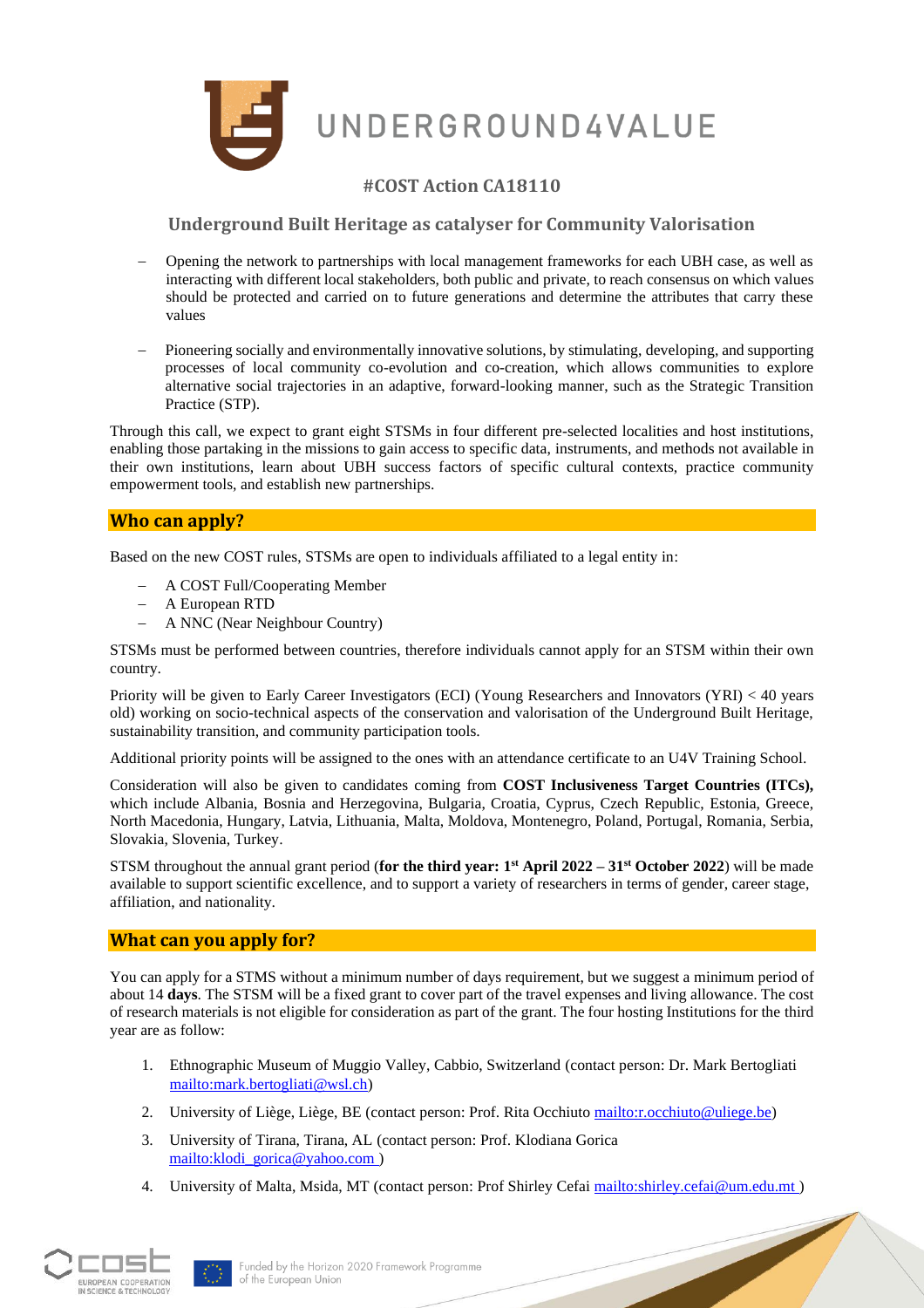

UNDERGROUND4VALUE

# **#COST Action CA18110**

**Underground Built Heritage as catalyser for Community Valorisation**

- − Opening the network to partnerships with local management frameworks for each UBH case, as well as interacting with different local stakeholders, both public and private, to reach consensus on which values should be protected and carried on to future generations and determine the attributes that carry these values
- Pioneering socially and environmentally innovative solutions, by stimulating, developing, and supporting processes of local community co-evolution and co-creation, which allows communities to explore alternative social trajectories in an adaptive, forward-looking manner, such as the Strategic Transition Practice (STP).

Through this call, we expect to grant eight STSMs in four different pre-selected localities and host institutions, enabling those partaking in the missions to gain access to specific data, instruments, and methods not available in their own institutions, learn about UBH success factors of specific cultural contexts, practice community empowerment tools, and establish new partnerships.

#### **Who can apply?**

Based on the new COST rules, STSMs are open to individuals affiliated to a legal entity in:

- − A COST Full/Cooperating Member
- − A European RTD
- − A NNC (Near Neighbour Country)

STSMs must be performed between countries, therefore individuals cannot apply for an STSM within their own country.

Priority will be given to Early Career Investigators (ECI) (Young Researchers and Innovators (YRI) < 40 years old) working on socio-technical aspects of the conservation and valorisation of the Underground Built Heritage, sustainability transition, and community participation tools.

Additional priority points will be assigned to the ones with an attendance certificate to an U4V Training School.

Consideration will also be given to candidates coming from **COST Inclusiveness Target Countries (ITCs),** which include Albania, Bosnia and Herzegovina, Bulgaria, Croatia, Cyprus, Czech Republic, Estonia, Greece, North Macedonia, Hungary, Latvia, Lithuania, Malta, Moldova, Montenegro, Poland, Portugal, Romania, Serbia, Slovakia, Slovenia, Turkey.

STSM throughout the annual grant period (**for the third year: 1 st April 2022 – 31st October 2022**) will be made available to support scientific excellence, and to support a variety of researchers in terms of gender, career stage, affiliation, and nationality.

#### **What can you apply for?**

You can apply for a STMS without a minimum number of days requirement, but we suggest a minimum period of about 14 **days**. The STSM will be a fixed grant to cover part of the travel expenses and living allowance. The cost of research materials is not eligible for consideration as part of the grant. The four hosting Institutions for the third year are as follow:

- 1. Ethnographic Museum of Muggio Valley, Cabbio, Switzerland (contact person: Dr. Mark Bertogliati [mailto:m](mailto:info@comune.camerano.an.it)ark.bertogliati@wsl.ch)
- 2. University of Liège, Liège, BE (contact person: Prof. Rita Occhiuto [mailto:r.occhiuto@uliege.be\)](mailto:r.occhiuto@uliege.be)
- 3. University of Tirana, Tirana, AL (contact person: Prof. Klodiana Gorica [mailto:klodi\\_gorica@yahoo.com \)](mailto:klodi_gorica@yahoo.com)
- 4. University of Malta, Msida, MT (contact person: Prof Shirley Cefai [mailto:shirley.cefai@um.edu.mt \)](mailto:shirley.cefai@um.edu.mt)



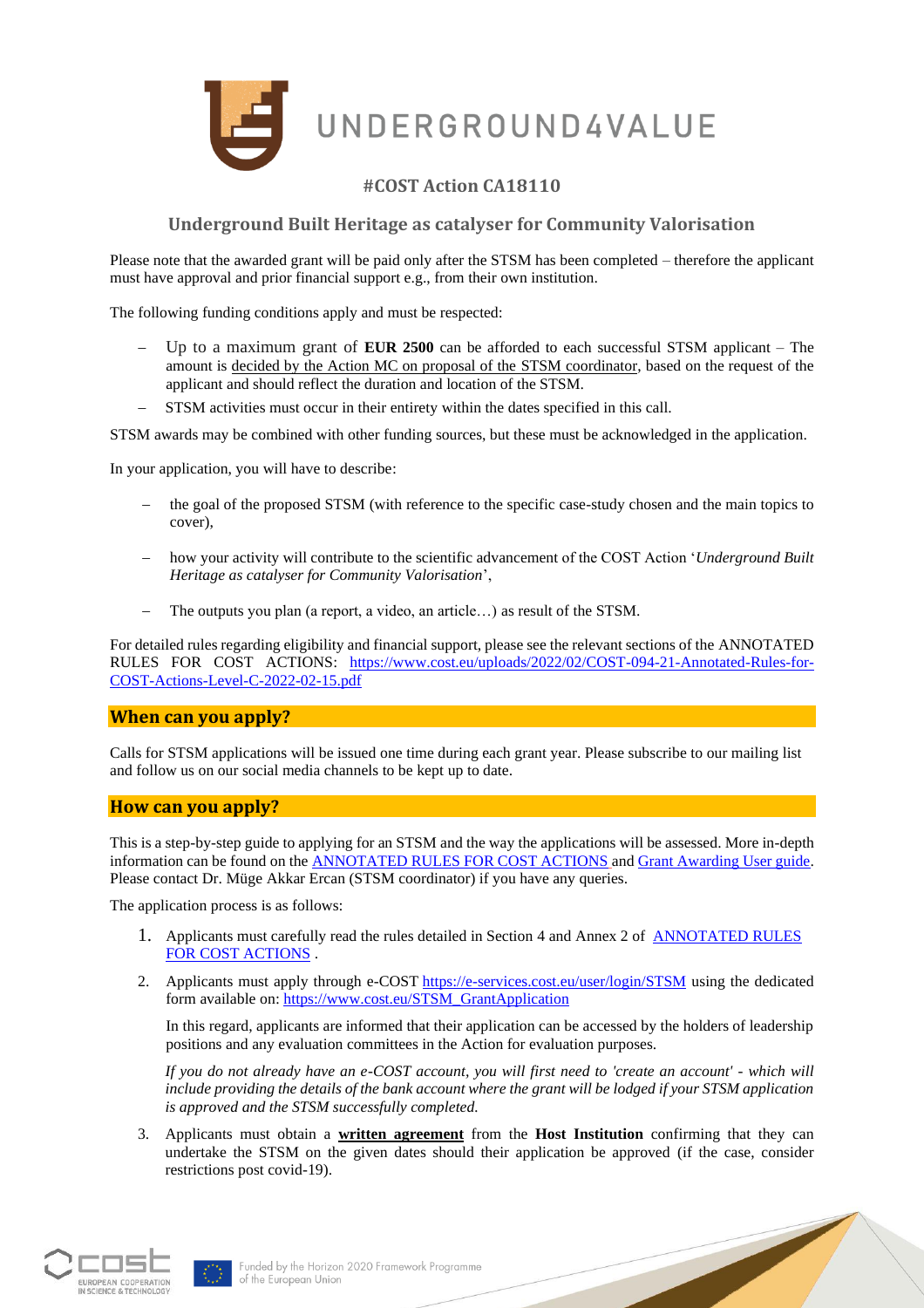

### **#COST Action CA18110**

#### **Underground Built Heritage as catalyser for Community Valorisation**

Please note that the awarded grant will be paid only after the STSM has been completed – therefore the applicant must have approval and prior financial support e.g., from their own institution.

The following funding conditions apply and must be respected:

- − Up to a maximum grant of **EUR 2500** can be afforded to each successful STSM applicant The amount is decided by the Action MC on proposal of the STSM coordinator, based on the request of the applicant and should reflect the duration and location of the STSM.
- STSM activities must occur in their entirety within the dates specified in this call.

STSM awards may be combined with other funding sources, but these must be acknowledged in the application.

In your application, you will have to describe:

- the goal of the proposed STSM (with reference to the specific case-study chosen and the main topics to cover),
- − how your activity will contribute to the scientific advancement of the COST Action '*Underground Built Heritage as catalyser for Community Valorisation*',
- The outputs you plan (a report, a video, an article...) as result of the STSM.

For detailed rules regarding eligibility and financial support, please see the relevant sections of the ANNOTATED RULES FOR COST ACTIONS: [https://www.cost.eu/uploads/2022/02/COST-094-21-Annotated-Rules-for-](https://www.cost.eu/uploads/2022/02/COST-094-21-Annotated-Rules-for-COST-Actions-Level-C-2022-02-15.pdf)[COST-Actions-Level-C-2022-02-15.pdf](https://www.cost.eu/uploads/2022/02/COST-094-21-Annotated-Rules-for-COST-Actions-Level-C-2022-02-15.pdf)

#### **When can you apply?**

Calls for STSM applications will be issued one time during each grant year. Please subscribe to our mailing list and follow us on our social media channels to be kept up to date.

#### **How can you apply?**

This is a step-by-step guide to applying for an STSM and the way the applications will be assessed. More in-depth information can be found on the [ANNOTATED RULES FOR COST ACTIONS](https://www.cost.eu/uploads/2022/02/COST-094-21-Annotated-Rules-for-COST-Actions-Level-C-2022-02-15.pdf) and [Grant Awarding User guide.](https://www.cost.eu/uploads/2021/12/Grant-Awarding-userguide.pdf) Please contact Dr. Müge Akkar Ercan (STSM coordinator) if you have any queries.

The application process is as follows:

- 1. Applicants must carefully read the rules detailed in Section 4 and Annex 2 of ANNOTATED RULES [FOR COST ACTIONS](https://www.cost.eu/uploads/2022/02/COST-094-21-Annotated-Rules-for-COST-Actions-Level-C-2022-02-15.pdf) .
- 2. Applicants must apply through e-COST <https://e-services.cost.eu/user/login/STSM> using the dedicated form available on[: https://www.cost.eu/STSM\\_GrantApplication](https://www.cost.eu/STSM_GrantApplication)

In this regard, applicants are informed that their application can be accessed by the holders of leadership positions and any evaluation committees in the Action for evaluation purposes.

*If you do not already have an e-COST account, you will first need to 'create an account' - which will include providing the details of the bank account where the grant will be lodged if your STSM application is approved and the STSM successfully completed.*

3. Applicants must obtain a **written agreement** from the **Host Institution** confirming that they can undertake the STSM on the given dates should their application be approved (if the case, consider restrictions post covid-19).